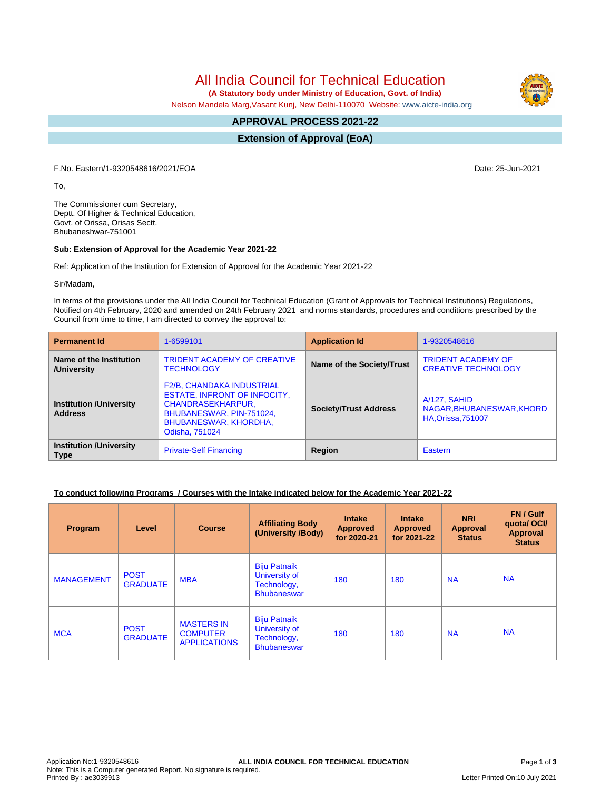All India Council for Technical Education

 **(A Statutory body under Ministry of Education, Govt. of India)**

Nelson Mandela Marg,Vasant Kunj, New Delhi-110070 Website: [www.aicte-india.org](http://www.aicte-india.org)

#### **APPROVAL PROCESS 2021-22 -**

**Extension of Approval (EoA)**

F.No. Eastern/1-9320548616/2021/EOA Date: 25-Jun-2021

To,

The Commissioner cum Secretary, Deptt. Of Higher & Technical Education, Govt. of Orissa, Orisas Sectt. Bhubaneshwar-751001

### **Sub: Extension of Approval for the Academic Year 2021-22**

Ref: Application of the Institution for Extension of Approval for the Academic Year 2021-22

Sir/Madam,

In terms of the provisions under the All India Council for Technical Education (Grant of Approvals for Technical Institutions) Regulations, Notified on 4th February, 2020 and amended on 24th February 2021 and norms standards, procedures and conditions prescribed by the Council from time to time, I am directed to convey the approval to:

| <b>Permanent Id</b>                              | 1-6599101                                                                                                                                                                  | <b>Application Id</b>        | 1-9320548616                                                           |  |
|--------------------------------------------------|----------------------------------------------------------------------------------------------------------------------------------------------------------------------------|------------------------------|------------------------------------------------------------------------|--|
| Name of the Institution<br>/University           | <b>TRIDENT ACADEMY OF CREATIVE</b><br><b>TECHNOLOGY</b>                                                                                                                    | Name of the Society/Trust    | <b>TRIDENT ACADEMY OF</b><br><b>CREATIVE TECHNOLOGY</b>                |  |
| <b>Institution /University</b><br><b>Address</b> | <b>F2/B, CHANDAKA INDUSTRIAL</b><br><b>ESTATE, INFRONT OF INFOCITY,</b><br><b>CHANDRASEKHARPUR,</b><br>BHUBANESWAR, PIN-751024,<br>BHUBANESWAR, KHORDHA,<br>Odisha, 751024 | <b>Society/Trust Address</b> | A/127, SAHID<br>NAGAR, BHUBANESWAR, KHORD<br><b>HA, Orissa, 751007</b> |  |
| <b>Institution /University</b><br><b>Type</b>    | <b>Private-Self Financing</b>                                                                                                                                              | Region                       | Eastern                                                                |  |

## **To conduct following Programs / Courses with the Intake indicated below for the Academic Year 2021-22**

| Program           | Level                          | <b>Course</b>                                               | <b>Affiliating Body</b><br>(University /Body)                             | <b>Intake</b><br><b>Approved</b><br>for 2020-21 | <b>Intake</b><br>Approved<br>for 2021-22 | <b>NRI</b><br>Approval<br><b>Status</b> | FN / Gulf<br>quotal OCI/<br>Approval<br><b>Status</b> |
|-------------------|--------------------------------|-------------------------------------------------------------|---------------------------------------------------------------------------|-------------------------------------------------|------------------------------------------|-----------------------------------------|-------------------------------------------------------|
| <b>MANAGEMENT</b> | <b>POST</b><br><b>GRADUATE</b> | <b>MBA</b>                                                  | <b>Biju Patnaik</b><br>University of<br>Technology,<br><b>Bhubaneswar</b> | 180                                             | 180                                      | <b>NA</b>                               | <b>NA</b>                                             |
| <b>MCA</b>        | <b>POST</b><br><b>GRADUATE</b> | <b>MASTERS IN</b><br><b>COMPUTER</b><br><b>APPLICATIONS</b> | <b>Biju Patnaik</b><br>University of<br>Technology,<br><b>Bhubaneswar</b> | 180                                             | 180                                      | <b>NA</b>                               | <b>NA</b>                                             |